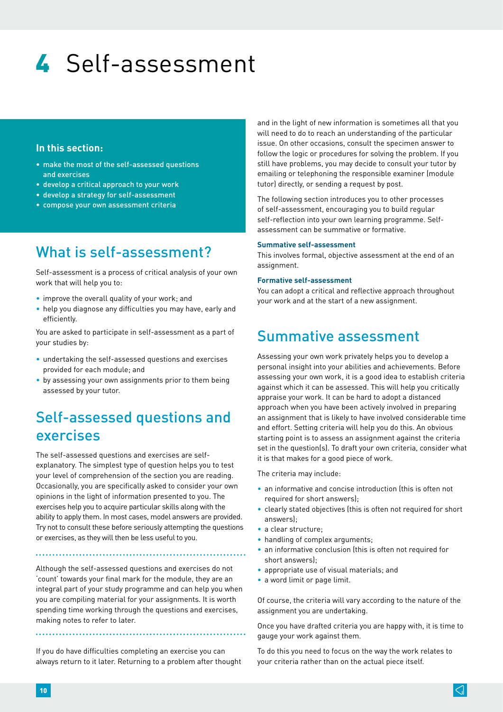# 4 Self-assessment

#### **In this section:**

- make the most of the self-assessed questions and exercises
- develop a critical approach to your work
- develop a strategy for self-assessment
- compose your own assessment criteria

# What is self-assessment?

Self-assessment is a process of critical analysis of your own work that will help you to:

- improve the overall quality of your work; and
- help you diagnose any difficulties you may have, early and efficiently.

You are asked to participate in self-assessment as a part of your studies by:

- undertaking the self-assessed questions and exercises provided for each module; and
- by assessing your own assignments prior to them being assessed by your tutor.

# Self-assessed questions and exercises

The self-assessed questions and exercises are selfexplanatory. The simplest type of question helps you to test your level of comprehension of the section you are reading. Occasionally, you are specifically asked to consider your own opinions in the light of information presented to you. The exercises help you to acquire particular skills along with the ability to apply them. In most cases, model answers are provided. Try not to consult these before seriously attempting the questions or exercises, as they will then be less useful to you.

Although the self-assessed questions and exercises do not 'count' towards your final mark for the module, they are an integral part of your study programme and can help you when you are compiling material for your assignments. It is worth spending time working through the questions and exercises, making notes to refer to later.

If you do have difficulties completing an exercise you can always return to it later. Returning to a problem after thought

and in the light of new information is sometimes all that you will need to do to reach an understanding of the particular issue. On other occasions, consult the specimen answer to follow the logic or procedures for solving the problem. If you still have problems, you may decide to consult your tutor by emailing or telephoning the responsible examiner (module tutor) directly, or sending a request by post.

The following section introduces you to other processes of self-assessment, encouraging you to build regular self-reflection into your own learning programme. Selfassessment can be summative or formative.

#### **Summative self-assessment**

This involves formal, objective assessment at the end of an assignment.

#### **Formative self-assessment**

You can adopt a critical and reflective approach throughout your work and at the start of a new assignment.

### Summative assessment

Assessing your own work privately helps you to develop a personal insight into your abilities and achievements. Before assessing your own work, it is a good idea to establish criteria against which it can be assessed. This will help you critically appraise your work. It can be hard to adopt a distanced approach when you have been actively involved in preparing an assignment that is likely to have involved considerable time and effort. Setting criteria will help you do this. An obvious starting point is to assess an assignment against the criteria set in the question(s). To draft your own criteria, consider what it is that makes for a good piece of work.

The criteria may include:

- an informative and concise introduction (this is often not required for short answers):
- clearly stated objectives (this is often not required for short answers);
- a clear structure;
- handling of complex arguments;
- an informative conclusion (this is often not required for short answers);
- appropriate use of visual materials; and
- a word limit or page limit.

Of course, the criteria will vary according to the nature of the assignment you are undertaking.

Once you have drafted criteria you are happy with, it is time to gauge your work against them.

To do this you need to focus on the way the work relates to your criteria rather than on the actual piece itself.